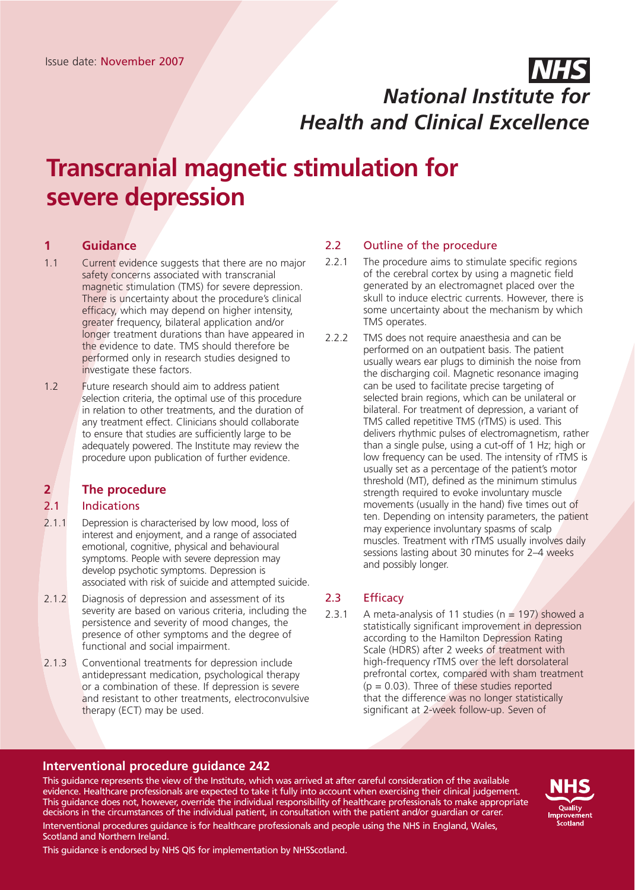# Issue date: November 2007 *NHS National Institute for Health and Clinical Excellence*

# **Transcranial magnetic stimulation for severe depression**

# **1 Guidance**

- 1.1 Current evidence suggests that there are no major safety concerns associated with transcranial magnetic stimulation (TMS) for severe depression. There is uncertainty about the procedure's clinical efficacy, which may depend on higher intensity, greater frequency, bilateral application and/or longer treatment durations than have appeared in the evidence to date. TMS should therefore be performed only in research studies designed to investigate these factors.
- 1.2 Future research should aim to address patient selection criteria, the optimal use of this procedure in relation to other treatments, and the duration of any treatment effect. Clinicians should collaborate to ensure that studies are sufficiently large to be adequately powered. The Institute may review the procedure upon publication of further evidence.

# **2 The procedure**

#### 2.1 Indications

- 2.1.1 Depression is characterised by low mood, loss of interest and enjoyment, and a range of associated emotional, cognitive, physical and behavioural symptoms. People with severe depression may develop psychotic symptoms. Depression is associated with risk of suicide and attempted suicide.
- 2.1.2 Diagnosis of depression and assessment of its severity are based on various criteria, including the persistence and severity of mood changes, the presence of other symptoms and the degree of functional and social impairment.
- 2.1.3 Conventional treatments for depression include antidepressant medication, psychological therapy or a combination of these. If depression is severe and resistant to other treatments, electroconvulsive therapy (ECT) may be used.

### 2.2 Outline of the procedure

- 2.2.1 The procedure aims to stimulate specific regions of the cerebral cortex by using a magnetic field generated by an electromagnet placed over the skull to induce electric currents. However, there is some uncertainty about the mechanism by which TMS operates.
- 2.2.2 TMS does not require anaesthesia and can be performed on an outpatient basis. The patient usually wears ear plugs to diminish the noise from the discharging coil. Magnetic resonance imaging can be used to facilitate precise targeting of selected brain regions, which can be unilateral or bilateral. For treatment of depression, a variant of TMS called repetitive TMS (rTMS) is used. This delivers rhythmic pulses of electromagnetism, rather than a single pulse, using a cut-off of 1 Hz; high or low frequency can be used. The intensity of rTMS is usually set as a percentage of the patient's motor threshold (MT), defined as the minimum stimulus strength required to evoke involuntary muscle movements (usually in the hand) five times out of ten. Depending on intensity parameters, the patient may experience involuntary spasms of scalp muscles. Treatment with rTMS usually involves daily sessions lasting about 30 minutes for 2–4 weeks and possibly longer.

# 2.3 Efficacy

2.3.1 A meta-analysis of 11 studies ( $n = 197$ ) showed a statistically significant improvement in depression according to the Hamilton Depression Rating Scale (HDRS) after 2 weeks of treatment with high-frequency rTMS over the left dorsolateral prefrontal cortex, compared with sham treatment  $(p = 0.03)$ . Three of these studies reported that the difference was no longer statistically significant at 2-week follow-up. Seven of

#### **Interventional procedure guidance 242**

This guidance represents the view of the Institute, which was arrived at after careful consideration of the available evidence. Healthcare professionals are expected to take it fully into account when exercising their clinical judgement. This guidance does not, however, override the individual responsibility of healthcare professionals to make appropriate decisions in the circumstances of the individual patient, in consultation with the patient and/or guardian or carer. Interventional procedures guidance is for healthcare professionals and people using the NHS in England, Wales, Scotland and Northern Ireland.



This guidance is endorsed by NHS QIS for implementation by NHSScotland.